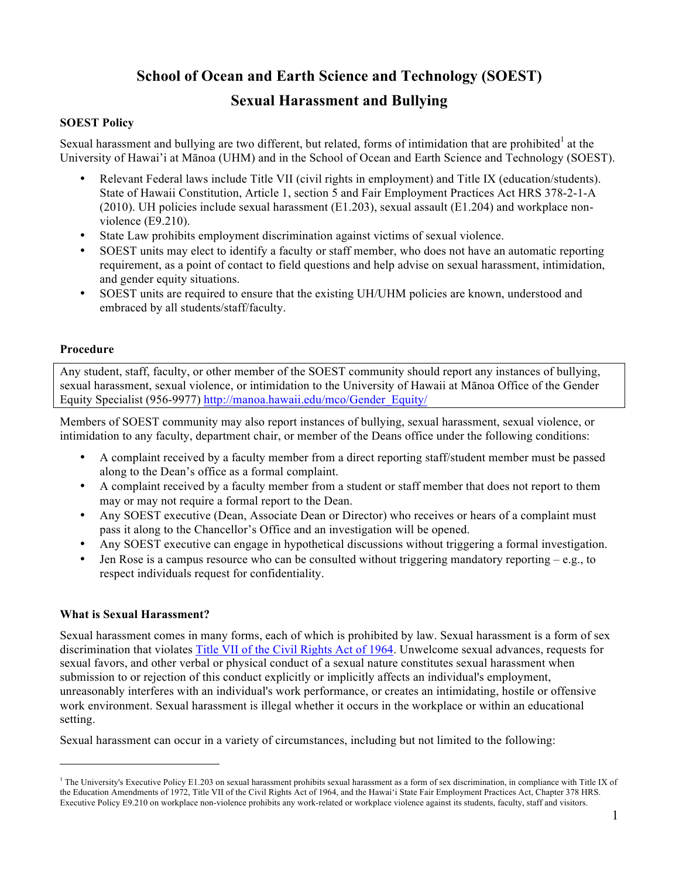# **School of Ocean and Earth Science and Technology (SOEST)**

# **Sexual Harassment and Bullying**

## **SOEST Policy**

Sexual harassment and bullying are two different, but related, forms of intimidation that are prohibited at the University of Hawai'i at Mānoa (UHM) and in the School of Ocean and Earth Science and Technology (SOEST).

- Relevant Federal laws include Title VII (civil rights in employment) and Title IX (education/students). State of Hawaii Constitution, Article 1, section 5 and Fair Employment Practices Act HRS 378-2-1-A (2010). UH policies include sexual harassment (E1.203), sexual assault (E1.204) and workplace nonviolence (E9.210).
- State Law prohibits employment discrimination against victims of sexual violence.
- SOEST units may elect to identify a faculty or staff member, who does not have an automatic reporting requirement, as a point of contact to field questions and help advise on sexual harassment, intimidation, and gender equity situations.
- SOEST units are required to ensure that the existing UH/UHM policies are known, understood and embraced by all students/staff/faculty.

#### **Procedure**

Any student, staff, faculty, or other member of the SOEST community should report any instances of bullying, sexual harassment, sexual violence, or intimidation to the University of Hawaii at Mānoa Office of the Gender Equity Specialist (956-9977) http://manoa.hawaii.edu/mco/Gender\_Equity/

Members of SOEST community may also report instances of bullying, sexual harassment, sexual violence, or intimidation to any faculty, department chair, or member of the Deans office under the following conditions:

- A complaint received by a faculty member from a direct reporting staff/student member must be passed along to the Dean's office as a formal complaint.
- A complaint received by a faculty member from a student or staff member that does not report to them may or may not require a formal report to the Dean.
- Any SOEST executive (Dean, Associate Dean or Director) who receives or hears of a complaint must pass it along to the Chancellor's Office and an investigation will be opened.
- Any SOEST executive can engage in hypothetical discussions without triggering a formal investigation.
- Jen Rose is a campus resource who can be consulted without triggering mandatory reporting  $-e.g.,$  to respect individuals request for confidentiality.

#### **What is Sexual Harassment?**

 $\overline{a}$ 

Sexual harassment comes in many forms, each of which is prohibited by law. Sexual harassment is a form of sex discrimination that violates Title VII of the Civil Rights Act of 1964. Unwelcome sexual advances, requests for sexual favors, and other verbal or physical conduct of a sexual nature constitutes sexual harassment when submission to or rejection of this conduct explicitly or implicitly affects an individual's employment, unreasonably interferes with an individual's work performance, or creates an intimidating, hostile or offensive work environment. Sexual harassment is illegal whether it occurs in the workplace or within an educational setting.

Sexual harassment can occur in a variety of circumstances, including but not limited to the following:

<sup>&</sup>lt;sup>1</sup> The University's Executive Policy E1.203 on sexual harassment prohibits sexual harassment as a form of sex discrimination, in compliance with Title IX of the Education Amendments of 1972, Title VII of the Civil Rights Act of 1964, and the Hawai'i State Fair Employment Practices Act, Chapter 378 HRS. Executive Policy E9.210 on workplace non-violence prohibits any work-related or workplace violence against its students, faculty, staff and visitors.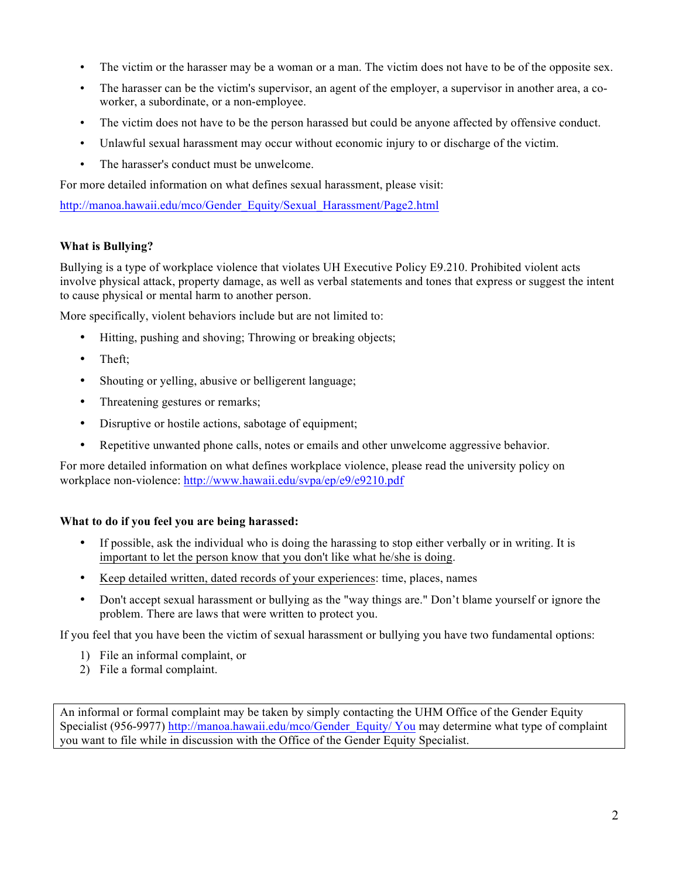- The victim or the harasser may be a woman or a man. The victim does not have to be of the opposite sex.
- The harasser can be the victim's supervisor, an agent of the employer, a supervisor in another area, a coworker, a subordinate, or a non-employee.
- The victim does not have to be the person harassed but could be anyone affected by offensive conduct.
- Unlawful sexual harassment may occur without economic injury to or discharge of the victim.
- The harasser's conduct must be unwelcome.

For more detailed information on what defines sexual harassment, please visit:

http://manoa.hawaii.edu/mco/Gender\_Equity/Sexual\_Harassment/Page2.html

### **What is Bullying?**

Bullying is a type of workplace violence that violates UH Executive Policy E9.210. Prohibited violent acts involve physical attack, property damage, as well as verbal statements and tones that express or suggest the intent to cause physical or mental harm to another person.

More specifically, violent behaviors include but are not limited to:

- Hitting, pushing and shoving; Throwing or breaking objects;
- Theft;
- Shouting or yelling, abusive or belligerent language;
- Threatening gestures or remarks;
- Disruptive or hostile actions, sabotage of equipment;
- Repetitive unwanted phone calls, notes or emails and other unwelcome aggressive behavior.

For more detailed information on what defines workplace violence, please read the university policy on workplace non-violence: http://www.hawaii.edu/svpa/ep/e9/e9210.pdf

#### **What to do if you feel you are being harassed:**

- If possible, ask the individual who is doing the harassing to stop either verbally or in writing. It is important to let the person know that you don't like what he/she is doing.
- Keep detailed written, dated records of your experiences: time, places, names
- Don't accept sexual harassment or bullying as the "way things are." Don't blame yourself or ignore the problem. There are laws that were written to protect you.

If you feel that you have been the victim of sexual harassment or bullying you have two fundamental options:

- 1) File an informal complaint, or
- 2) File a formal complaint.

An informal or formal complaint may be taken by simply contacting the UHM Office of the Gender Equity Specialist (956-9977) http://manoa.hawaii.edu/mco/Gender\_Equity/ You may determine what type of complaint you want to file while in discussion with the Office of the Gender Equity Specialist.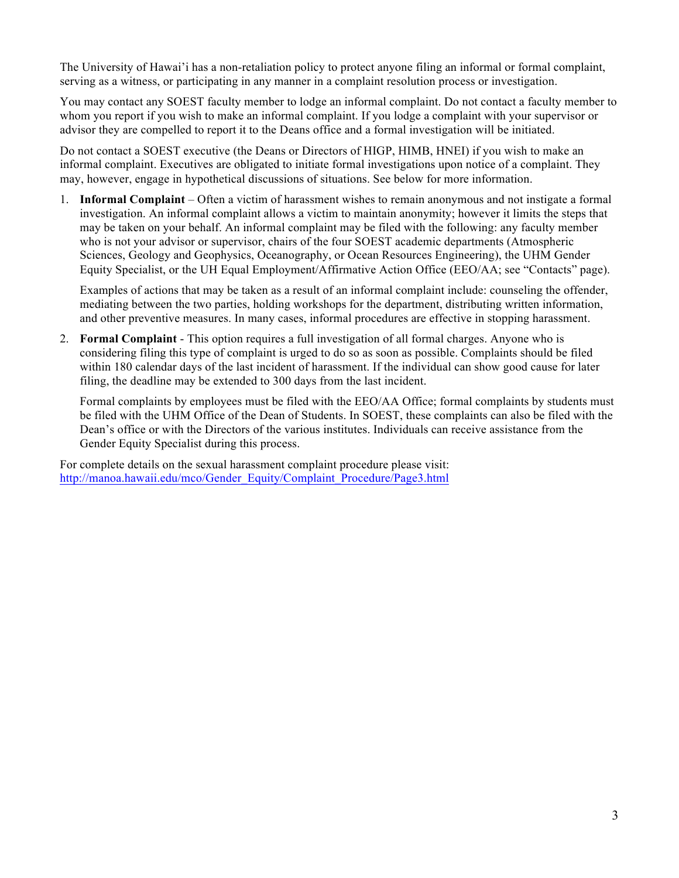The University of Hawai'i has a non-retaliation policy to protect anyone filing an informal or formal complaint, serving as a witness, or participating in any manner in a complaint resolution process or investigation.

You may contact any SOEST faculty member to lodge an informal complaint. Do not contact a faculty member to whom you report if you wish to make an informal complaint. If you lodge a complaint with your supervisor or advisor they are compelled to report it to the Deans office and a formal investigation will be initiated.

Do not contact a SOEST executive (the Deans or Directors of HIGP, HIMB, HNEI) if you wish to make an informal complaint. Executives are obligated to initiate formal investigations upon notice of a complaint. They may, however, engage in hypothetical discussions of situations. See below for more information.

1. **Informal Complaint** – Often a victim of harassment wishes to remain anonymous and not instigate a formal investigation. An informal complaint allows a victim to maintain anonymity; however it limits the steps that may be taken on your behalf. An informal complaint may be filed with the following: any faculty member who is not your advisor or supervisor, chairs of the four SOEST academic departments (Atmospheric Sciences, Geology and Geophysics, Oceanography, or Ocean Resources Engineering), the UHM Gender Equity Specialist, or the UH Equal Employment/Affirmative Action Office (EEO/AA; see "Contacts" page).

Examples of actions that may be taken as a result of an informal complaint include: counseling the offender, mediating between the two parties, holding workshops for the department, distributing written information, and other preventive measures. In many cases, informal procedures are effective in stopping harassment.

2. **Formal Complaint** - This option requires a full investigation of all formal charges. Anyone who is considering filing this type of complaint is urged to do so as soon as possible. Complaints should be filed within 180 calendar days of the last incident of harassment. If the individual can show good cause for later filing, the deadline may be extended to 300 days from the last incident.

Formal complaints by employees must be filed with the EEO/AA Office; formal complaints by students must be filed with the UHM Office of the Dean of Students. In SOEST, these complaints can also be filed with the Dean's office or with the Directors of the various institutes. Individuals can receive assistance from the Gender Equity Specialist during this process.

For complete details on the sexual harassment complaint procedure please visit: http://manoa.hawaii.edu/mco/Gender\_Equity/Complaint\_Procedure/Page3.html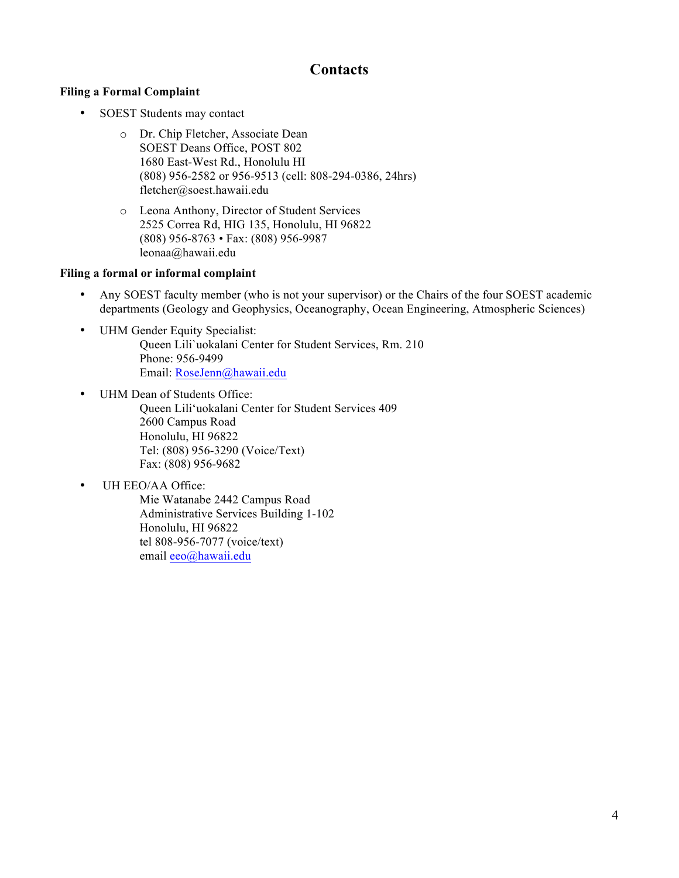# **Contacts**

### **Filing a Formal Complaint**

- SOEST Students may contact
	- o Dr. Chip Fletcher, Associate Dean SOEST Deans Office, POST 802 1680 East-West Rd., Honolulu HI (808) 956-2582 or 956-9513 (cell: 808-294-0386, 24hrs) fletcher@soest.hawaii.edu
	- o Leona Anthony, Director of Student Services 2525 Correa Rd, HIG 135, Honolulu, HI 96822 (808) 956-8763 • Fax: (808) 956-9987 leonaa@hawaii.edu

#### **Filing a formal or informal complaint**

- Any SOEST faculty member (who is not your supervisor) or the Chairs of the four SOEST academic departments (Geology and Geophysics, Oceanography, Ocean Engineering, Atmospheric Sciences)
- UHM Gender Equity Specialist: Queen Lili`uokalani Center for Student Services, Rm. 210 Phone: 956-9499 Email: RoseJenn@hawaii.edu
- UHM Dean of Students Office: Queen Lili'uokalani Center for Student Services 409 2600 Campus Road Honolulu, HI 96822 Tel: (808) 956-3290 (Voice/Text) Fax: (808) 956-9682
- UH EEO/AA Office:

Mie Watanabe 2442 Campus Road Administrative Services Building 1-102 Honolulu, HI 96822 tel 808-956-7077 (voice/text) email eeo@hawaii.edu